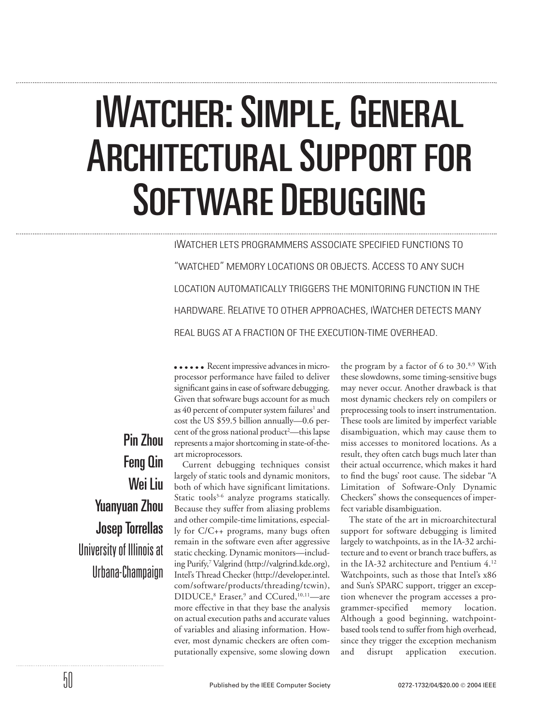# IWATCHER: SIMPLE, GENERAL **ARCHITECTURAL SUPPORT FOR** SOFTWARE DEBUGGING

IWATCHER LETS PROGRAMMERS ASSOCIATE SPECIFIED FUNCTIONS TO "WATCHED" MEMORY LOCATIONS OR OBJECTS. ACCESS TO ANY SUCH LOCATION AUTOMATICALLY TRIGGERS THE MONITORING FUNCTION IN THE HARDWARE. RELATIVE TO OTHER APPROACHES, IWATCHER DETECTS MANY REAL BUGS AT A FRACTION OF THE EXECUTION-TIME OVERHEAD.

Recent impressive advances in microprocessor performance have failed to deliver significant gains in ease of software debugging. Given that software bugs account for as much as 40 percent of computer system failures<sup>1</sup> and cost the US \$59.5 billion annually—0.6 percent of the gross national product<sup>2</sup>—this lapse represents a major shortcoming in state-of-theart microprocessors.

Current debugging techniques consist largely of static tools and dynamic monitors, both of which have significant limitations. Static tools<sup>3-6</sup> analyze programs statically. Because they suffer from aliasing problems and other compile-time limitations, especially for C/C++ programs, many bugs often remain in the software even after aggressive static checking. Dynamic monitors—including Purify,7 Valgrind (http://valgrind.kde.org), Intel's Thread Checker (http://developer.intel. com/software/products/threading/tcwin), DIDUCE,<sup>8</sup> Eraser,<sup>9</sup> and CCured,<sup>10,11</sup>—are more effective in that they base the analysis on actual execution paths and accurate values of variables and aliasing information. However, most dynamic checkers are often computationally expensive, some slowing down

the program by a factor of 6 to  $30.^{8,9}$  With these slowdowns, some timing-sensitive bugs may never occur. Another drawback is that most dynamic checkers rely on compilers or preprocessing tools to insert instrumentation. These tools are limited by imperfect variable disambiguation, which may cause them to miss accesses to monitored locations. As a result, they often catch bugs much later than their actual occurrence, which makes it hard to find the bugs' root cause. The sidebar "A Limitation of Software-Only Dynamic Checkers" shows the consequences of imperfect variable disambiguation.

The state of the art in microarchitectural support for software debugging is limited largely to watchpoints, as in the IA-32 architecture and to event or branch trace buffers, as in the IA-32 architecture and Pentium 4.12 Watchpoints, such as those that Intel's x86 and Sun's SPARC support, trigger an exception whenever the program accesses a programmer-specified memory location. Although a good beginning, watchpointbased tools tend to suffer from high overhead, since they trigger the exception mechanism and disrupt application execution.

Pin Zhou Feng Qin Wei Liu Yuanyuan Zhou Josep Torrellas University of Illinois at Urbana-Champaign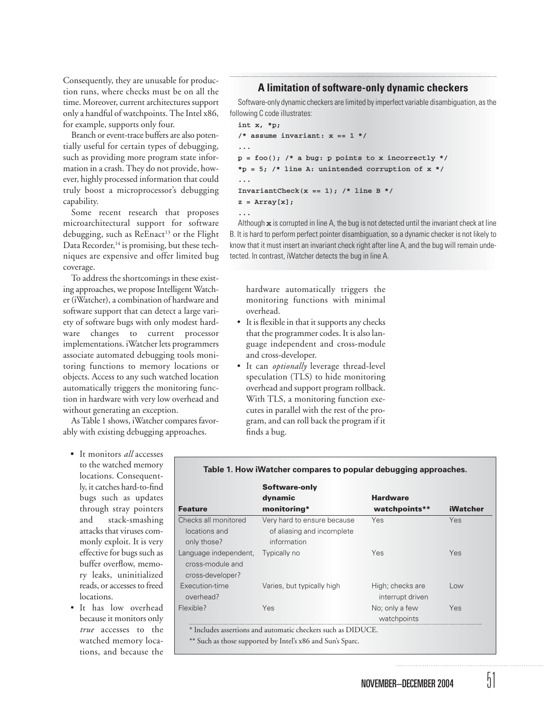Consequently, they are unusable for production runs, where checks must be on all the time. Moreover, current architectures support only a handful of watchpoints. The Intel x86, for example, supports only four.

Branch or event-trace buffers are also potentially useful for certain types of debugging, such as providing more program state information in a crash. They do not provide, however, highly processed information that could truly boost a microprocessor's debugging capability.

Some recent research that proposes microarchitectural support for software debugging, such as  $ReEnact<sup>13</sup>$  or the Flight Data Recorder,<sup>14</sup> is promising, but these techniques are expensive and offer limited bug coverage.

To address the shortcomings in these existing approaches, we propose Intelligent Watcher (iWatcher), a combination of hardware and software support that can detect a large variety of software bugs with only modest hardware changes to current processor implementations. iWatcher lets programmers associate automated debugging tools monitoring functions to memory locations or objects. Access to any such watched location automatically triggers the monitoring function in hardware with very low overhead and without generating an exception.

As Table 1 shows, iWatcher compares favorably with existing debugging approaches.

- **•** It monitors *all* accesses to the watched memory locations. Consequently, it catches hard-to-find bugs such as updates through stray pointers and stack-smashing attacks that viruses commonly exploit. It is very effective for bugs such as buffer overflow, memory leaks, uninitialized reads, or accesses to freed locations.
- It has low overhead because it monitors only *true* accesses to the watched memory locations, and because the

## **A limitation of software-only dynamic checkers**

Software-only dynamic checkers are limited by imperfect variable disambiguation, as the following C code illustrates:

```
int x, *p;
/* assume invariant: x == 1 */
...
p = foo(); /* a bug: p points to x incorrectly */
*p = 5; /* line A: unintended corruption of x */
...
InvariantCheck(x == 1); /* line B */
z = \text{Array}[x];...
```
Although  $x$  is corrupted in line A, the bug is not detected until the invariant check at line B. It is hard to perform perfect pointer disambiguation, so a dynamic checker is not likely to know that it must insert an invariant check right after line A, and the bug will remain undetected. In contrast, iWatcher detects the bug in line A.

hardware automatically triggers the monitoring functions with minimal overhead.

- It is flexible in that it supports any checks that the programmer codes. It is also language independent and cross-module and cross-developer.
- It can *optionally* leverage thread-level speculation (TLS) to hide monitoring overhead and support program rollback. With TLS, a monitoring function executes in parallel with the rest of the program, and can roll back the program if it finds a bug.

|                       | <b>Software-only</b>        |                  |                 |  |
|-----------------------|-----------------------------|------------------|-----------------|--|
|                       | dynamic                     | <b>Hardware</b>  | <b>iWatcher</b> |  |
| <b>Feature</b>        | monitoring*                 | watchpoints**    |                 |  |
| Checks all monitored  | Very hard to ensure because | Yes              | Yes             |  |
| locations and         | of aliasing and incomplete  |                  |                 |  |
| only those?           | information                 |                  |                 |  |
| Language independent, | Typically no                | Yes              | Yes             |  |
| cross-module and      |                             |                  |                 |  |
| cross-developer?      |                             |                  |                 |  |
| Execution-time        | Varies, but typically high  | High; checks are | Low             |  |
| overhead?             |                             | interrupt driven |                 |  |
| Flexible?             | Yes                         | No; only a few   | Yes             |  |
|                       |                             | watchpoints      |                 |  |

Such as those supported by Intel's x86 and Sun's Sparc.

## **Table 1. How iWatcher compares to popular debugging approaches.**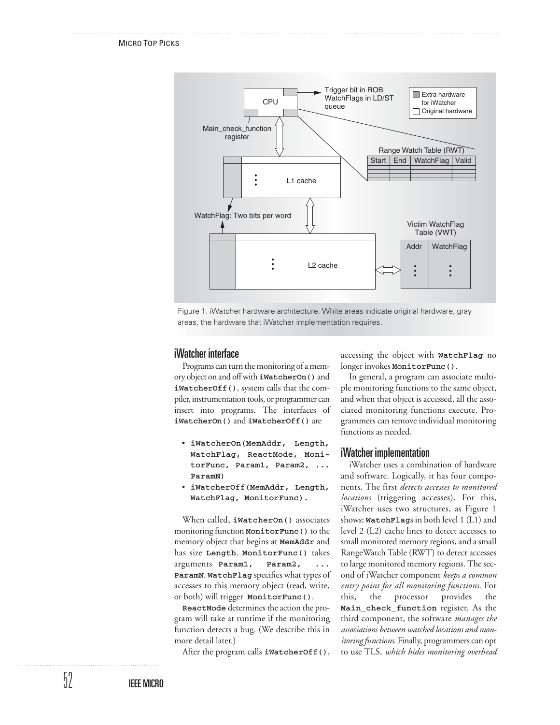

Figure 1. iWatcher hardware architecture. White areas indicate original hardware; gray areas, the hardware that iWatcher implementation requires.

# iWatcher interface

Programs can turn the monitoring of a memory object on and off with iWatcherOn() and iWatcherOff(), system calls that the compiler, instrumentation tools, or programmer can insert into programs. The interfaces of iWatcherOn() and iWatcherOff() are

- **•** iWatcherOn(MemAddr, Length, WatchFlag, ReactMode, MonitorFunc, Param1, Param2, ... ParamN)
- iWatcherOff(MemAddr, Length, WatchFlag, MonitorFunc).

When called, iWatcherOn() associates monitoring function MonitorFunc() to the memory object that begins at MemAddr and has size Length. MonitorFunc() takes arguments Param1, Param2, ... ParamN. WatchFlag specifies what types of accesses to this memory object (read, write, or both) will trigger MonitorFunc().

ReactMode determines the action the program will take at runtime if the monitoring function detects a bug. (We describe this in more detail later.)

After the program calls iWatcherOff(),

accessing the object with WatchFlag no longer invokes MonitorFunc().

In general, a program can associate multiple monitoring functions to the same object, and when that object is accessed, all the associated monitoring functions execute. Programmers can remove individual monitoring functions as needed.

# iWatcher implementation

iWatcher uses a combination of hardware and software. Logically, it has four components. The first *detects accesses to monitored locations* (triggering accesses). For this, iWatcher uses two structures, as Figure 1 shows: WatchFlags in both level 1 (L1) and level 2 (L2) cache lines to detect accesses to small monitored memory regions, and a small RangeWatch Table (RWT) to detect accesses to large monitored memory regions. The second of iWatcher component *keeps a common entry point for all monitoring functions*. For this, the processor provides the Main\_check\_function register. As the third component, the software *manages the associations between watched locations and monitoring functions*. Finally, programmers can opt to use TLS, *which hides monitoring overhead*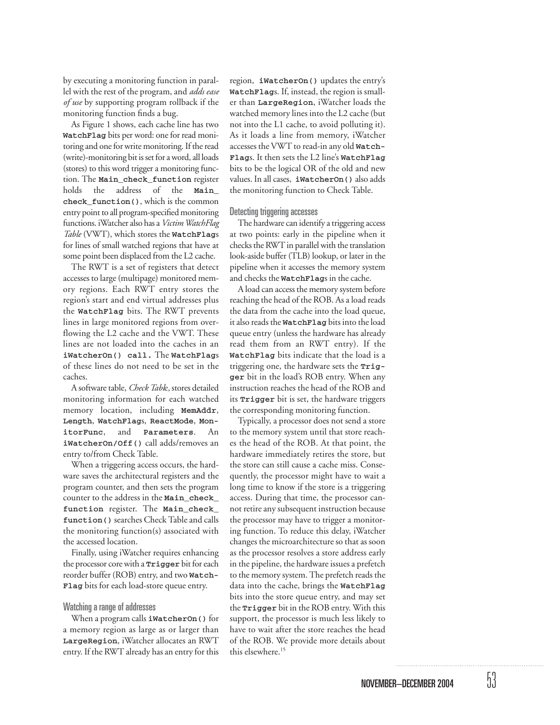by executing a monitoring function in parallel with the rest of the program, and *adds ease of use* by supporting program rollback if the monitoring function finds a bug.

As Figure 1 shows, each cache line has two WatchFlag bits per word: one for read monitoring and one for write monitoring. If the read (write)-monitoring bit is set for a word, all loads (stores) to this word trigger a monitoring function. The Main\_check\_function register holds the address of the Main check\_function(), which is the common entry point to all program-specified monitoring functions. iWatcher also has a *Victim WatchFlag Table* (VWT), which stores the WatchFlags for lines of small watched regions that have at some point been displaced from the L2 cache.

The RWT is a set of registers that detect accesses to large (multipage) monitored memory regions. Each RWT entry stores the region's start and end virtual addresses plus the WatchFlag bits. The RWT prevents lines in large monitored regions from overflowing the L2 cache and the VWT. These lines are not loaded into the caches in an iWatcherOn() call. The WatchFlags of these lines do not need to be set in the caches.

A software table, *Check Tabl*e*,* stores detailed monitoring information for each watched memory location, including MemAddr, Length, WatchFlags, ReactMode, MonitorFunc, and Parameters. An iWatcherOn/Off() call adds/removes an entry to/from Check Table.

When a triggering access occurs, the hardware saves the architectural registers and the program counter, and then sets the program counter to the address in the Main\_check\_ function register. The Main\_check\_ function() searches Check Table and calls the monitoring function(s) associated with the accessed location.

Finally, using iWatcher requires enhancing the processor core with a Trigger bit for each reorder buffer (ROB) entry, and two Watch-Flag bits for each load-store queue entry.

#### Watching a range of addresses

When a program calls iWatcherOn() for a memory region as large as or larger than LargeRegion, iWatcher allocates an RWT entry. If the RWT already has an entry for this region, iWatcherOn() updates the entry's WatchFlags. If, instead, the region is smaller than LargeRegion, iWatcher loads the watched memory lines into the L2 cache (but not into the L1 cache, to avoid polluting it). As it loads a line from memory, iWatcher accesses the VWT to read-in any old Watch-Flags. It then sets the L2 line's WatchFlag bits to be the logical OR of the old and new values. In all cases, iWatcherOn() also adds the monitoring function to Check Table.

## Detecting triggering accesses

The hardware can identify a triggering access at two points: early in the pipeline when it checks the RWT in parallel with the translation look-aside buffer (TLB) lookup, or later in the pipeline when it accesses the memory system and checks the WatchFlags in the cache.

A load can access the memory system before reaching the head of the ROB. As a load reads the data from the cache into the load queue, it also reads the WatchFlag bits into the load queue entry (unless the hardware has already read them from an RWT entry). If the WatchFlag bits indicate that the load is a triggering one, the hardware sets the Trigger bit in the load's ROB entry. When any instruction reaches the head of the ROB and its Trigger bit is set, the hardware triggers the corresponding monitoring function.

Typically, a processor does not send a store to the memory system until that store reaches the head of the ROB. At that point, the hardware immediately retires the store, but the store can still cause a cache miss. Consequently, the processor might have to wait a long time to know if the store is a triggering access. During that time, the processor cannot retire any subsequent instruction because the processor may have to trigger a monitoring function. To reduce this delay, iWatcher changes the microarchitecture so that as soon as the processor resolves a store address early in the pipeline, the hardware issues a prefetch to the memory system. The prefetch reads the data into the cache, brings the WatchFlag bits into the store queue entry, and may set the Trigger bit in the ROB entry. With this support, the processor is much less likely to have to wait after the store reaches the head of the ROB. We provide more details about this elsewhere.15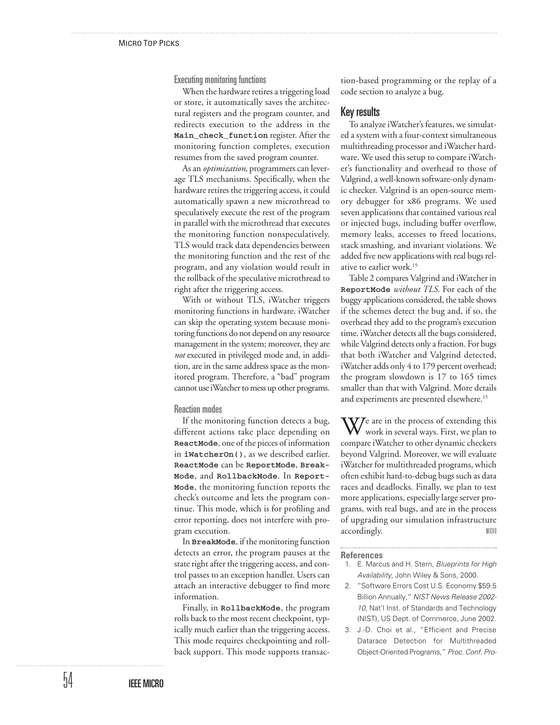Executing monitoring functions

When the hardware retires a triggering load or store, it automatically saves the architectural registers and the program counter, and redirects execution to the address in the Main\_check\_function register. After the monitoring function completes, execution resumes from the saved program counter.

As an *optimization*, programmers can leverage TLS mechanisms. Specifically, when the hardware retires the triggering access, it could automatically spawn a new microthread to speculatively execute the rest of the program in parallel with the microthread that executes the monitoring function nonspeculatively. TLS would track data dependencies between the monitoring function and the rest of the program, and any violation would result in the rollback of the speculative microthread to right after the triggering access.

With or without TLS, iWatcher triggers monitoring functions in hardware. iWatcher can skip the operating system because monitoring functions do not depend on any resource management in the system; moreover, they are *not* executed in privileged mode and, in addition, are in the same address space as the monitored program. Therefore, a "bad" program cannot use iWatcher to mess up other programs.

#### Reaction modes

If the monitoring function detects a bug, different actions take place depending on ReactMode, one of the pieces of information in iWatcherOn(), as we described earlier. ReactMode can be ReportMode, Break-Mode, and RollbackMode. In Report-Mode, the monitoring function reports the check's outcome and lets the program continue. This mode, which is for profiling and error reporting, does not interfere with program execution.

In BreakMode, if the monitoring function detects an error, the program pauses at the state right after the triggering access, and control passes to an exception handler. Users can attach an interactive debugger to find more information.

Finally, in RollbackMode, the program rolls back to the most recent checkpoint, typically much earlier than the triggering access. This mode requires checkpointing and rollback support. This mode supports transac-

tion-based programming or the replay of a code section to analyze a bug.

## Key results

To analyze iWatcher's features, we simulated a system with a four-context simultaneous multithreading processor and iWatcher hardware. We used this setup to compare iWatcher's functionality and overhead to those of Valgrind, a well-known software-only dynamic checker. Valgrind is an open-source memory debugger for x86 programs. We used seven applications that contained various real or injected bugs, including buffer overflow, memory leaks, accesses to freed locations, stack smashing, and invariant violations. We added five new applications with real bugs relative to earlier work.<sup>15</sup>

Table 2 compares Valgrind and iWatcher in ReportMode *without TLS*. For each of the buggy applications considered, the table shows if the schemes detect the bug and, if so, the overhead they add to the program's execution time. iWatcher detects all the bugs considered, while Valgrind detects only a fraction. For bugs that both iWatcher and Valgrind detected, iWatcher adds only 4 to 179 percent overhead; the program slowdown is 17 to 165 times smaller than that with Valgrind. More details and experiments are presented elsewhere.<sup>15</sup>

 $\mathbf{W}$ e are in the process of extending this work in several ways. First, we plan to compare iWatcher to other dynamic checkers beyond Valgrind. Moreover, we will evaluate iWatcher for multithreaded programs, which often exhibit hard-to-debug bugs such as data races and deadlocks. Finally, we plan to test more applications, especially large server programs, with real bugs, and are in the process of upgrading our simulation infrastructure accordingly.

#### **References**

1. E. Marcus and H. Stern, Blueprints for High Availability, John Wiley & Sons, 2000.

- 2. "Software Errors Cost U.S. Economy \$59.5 Billion Annually," NIST News Release 2002- 10, Nat'l Inst. of Standards and Technology (NIST), US Dept. of Commerce, June 2002.
- 3. J.-D. Choi et al., "Efficient and Precise Datarace Detection for Multithreaded Object-Oriented Programs," Proc. Conf. Pro-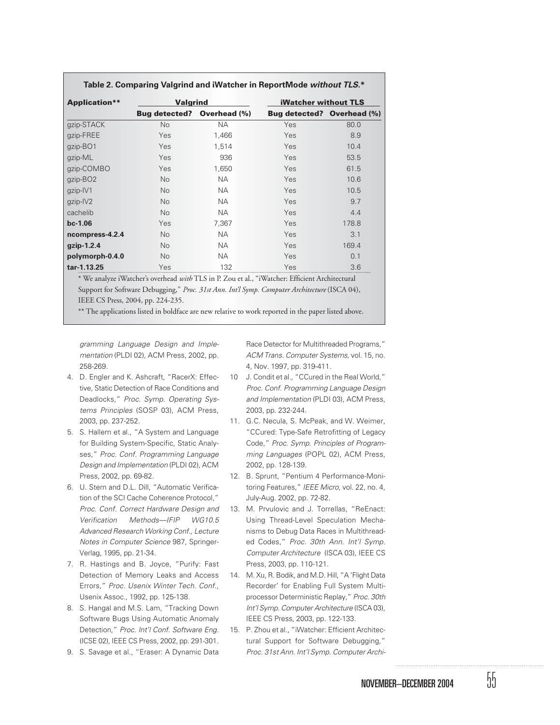| <b>Application**</b> | <b>Valgrind</b>                   |           | <b>iWatcher without TLS</b>       |       |
|----------------------|-----------------------------------|-----------|-----------------------------------|-------|
|                      | <b>Bug detected?</b> Overhead (%) |           | <b>Bug detected? Overhead (%)</b> |       |
| qzip-STACK           | No                                | <b>NA</b> | Yes                               | 80.0  |
| gzip-FREE            | Yes                               | 1,466     | Yes                               | 8.9   |
| $gz$ ip-BO1          | <b>Yes</b>                        | 1.514     | Yes                               | 10.4  |
| gzip-ML              | Yes                               | 936       | Yes                               | 53.5  |
| gzip-COMBO           | Yes                               | 1,650     | Yes                               | 61.5  |
| $gz$ ip-BO2          | No.                               | <b>NA</b> | Yes                               | 10.6  |
| gzip-IV1             | <b>No</b>                         | <b>NA</b> | Yes                               | 10.5  |
| $gz$ ip-IV2          | <b>No</b>                         | <b>NA</b> | Yes                               | 9.7   |
| cachelib             | <b>No</b>                         | <b>NA</b> | Yes                               | 4.4   |
| $bc-1.06$            | Yes                               | 7,367     | Yes                               | 178.8 |
| ncompress-4.2.4      | <b>No</b>                         | <b>NA</b> | Yes                               | 3.1   |
| $gzip-1.2.4$         | <b>No</b>                         | <b>NA</b> | Yes                               | 169.4 |
| polymorph-0.4.0      | No.                               | <b>NA</b> | Yes                               | 0.1   |
| tar-1.13.25          | Yes                               | 132       | Yes                               | 3.6   |

\* We analyze iWatcher's overhead *with* TLS in P. Zou et al., "iWatcher: Efficient Architectural Support for Software Debugging," *Proc. 31st Ann. Int'l Symp. Computer Architecture* (ISCA 04), IEEE CS Press, 2004, pp. 224-235.

\*\* The applications listed in boldface are new relative to work reported in the paper listed above.

gramming Language Design and Implementation (PLDI 02), ACM Press, 2002, pp. 258-269.

- 4. D. Engler and K. Ashcraft, "RacerX: Effective, Static Detection of Race Conditions and Deadlocks," Proc. Symp. Operating Systems Principles (SOSP 03), ACM Press, 2003, pp. 237-252.
- 5. S. Hallem et al., "A System and Language for Building System-Specific, Static Analyses," Proc. Conf. Programming Language Design and Implementation (PLDI 02), ACM Press, 2002, pp. 69-82.
- 6. U. Stern and D.L. Dill, "Automatic Verification of the SCI Cache Coherence Protocol," Proc. Conf. Correct Hardware Design and Verification Methods—IFIP WG10.5 Advanced Research Working Conf., Lecture Notes in Computer Science 987, Springer-Verlag, 1995, pp. 21-34.
- 7. R. Hastings and B. Joyce, "Purify: Fast Detection of Memory Leaks and Access Errors," Proc. Usenix Winter Tech. Conf., Usenix Assoc., 1992, pp. 125-138.
- 8. S. Hangal and M.S. Lam, "Tracking Down Software Bugs Using Automatic Anomaly Detection," Proc. Int'l Conf. Software Eng. (ICSE 02), IEEE CS Press, 2002, pp. 291-301.
- 9. S. Savage et al., "Eraser: A Dynamic Data

Race Detector for Multithreaded Programs," ACM Trans. Computer Systems, vol. 15, no. 4, Nov. 1997, pp. 319-411.

- 10 J. Condit et al., "CCured in the Real World," Proc. Conf. Programming Language Design and Implementation (PLDI 03), ACM Press, 2003, pp. 232-244.
- 11. G.C. Necula, S. McPeak, and W. Weimer, "CCured: Type-Safe Retrofitting of Legacy Code," Proc. Symp. Principles of Programming Languages (POPL 02), ACM Press, 2002, pp. 128-139.
- 12. B. Sprunt, "Pentium 4 Performance-Monitoring Features," IEEE Micro, vol. 22, no. 4, July-Aug. 2002, pp. 72-82.
- 13. M. Prvulovic and J. Torrellas, "ReEnact: Using Thread-Level Speculation Mechanisms to Debug Data Races in Multithreaded Codes," Proc. 30th Ann. Int'l Symp. Computer Architecture (ISCA 03), IEEE CS Press, 2003, pp. 110-121.
- 14. M. Xu, R. Bodik, and M.D. Hill, "A 'Flight Data Recorder' for Enabling Full System Multiprocessor Deterministic Replay," Proc. 30th Int'l Symp. Computer Architecture (ISCA 03), IEEE CS Press, 2003, pp. 122-133.
- 15. P. Zhou et al., "iWatcher: Efficient Architectural Support for Software Debugging," Proc. 31st Ann. Int'l Symp. Computer Archi-